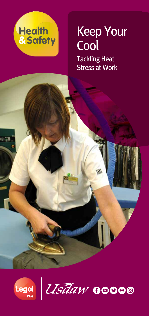

## Keep Your **Cool**

Tackling Heat Stress at Work



o SI.

Ustaw 00000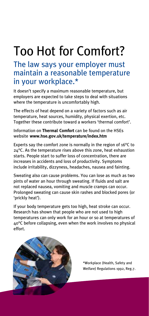# Too Hot for Comfort?

## The law says your employer must maintain a reasonable temperature in your workplace.\*

It doesn't specify a maximum reasonable temperature, but employers are expected to take steps to deal with situations where the temperature is uncomfortably high.

The effects of heat depend on a variety of factors such as air temperature, heat sources, humidity, physical exertion, etc. Together these contribute toward a workers 'thermal comfort'.

Information on **Thermal Comfort** can be found on the HSEs website **www.hse.gov.uk/temperature/index.htm**

Experts say the comfort zone is normally in the region of 16°C to 24°C. As the temperature rises above this zone, heat exhaustion starts. People start to suffer loss of concentration, there are increases in accidents and loss of productivity. Symptoms include irritability, dizzyness, headaches, nausea and fainting.

Sweating also can cause problems. You can lose as much as two pints of water an hour through sweating. If fluids and salt are not replaced nausea, vomiting and muscle cramps can occur. Prolonged sweating can cause skin rashes and blocked pores (or 'prickly heat').

If your body temperature gets too high, heat stroke can occur. Research has shown that people who are not used to high temperatures can only work for an hour or so at temperatures of 40°C before collapsing, even when the work involves no physical effort.



\*Workplace (Health, Safety and Welfare) Regulations 1992, Reg.7.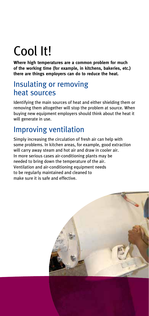# Cool It!

**Where high temperatures are a common problem for much of the working time (for example, in kitchens, bakeries, etc.) there are things employers can do to reduce the heat.**

## Insulating or removing heat sources

Identifying the main sources of heat and either shielding them or removing them altogether will stop the problem at source. When buying new equipment employers should think about the heat it will generate in use.

## Improving ventilation

Simply increasing the circulation of fresh air can help with some problems. In kitchen areas, for example, good extraction will carry away steam and hot air and draw in cooler air. In more serious cases air-conditioning plants may be needed to bring down the temperature of the air. Ventilation and air-conditioning equipment needs to be regularly maintained and cleaned to make sure it is safe and effective.

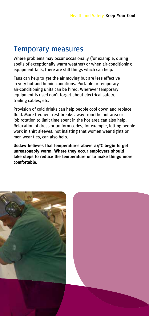## Temporary measures

Where problems may occur occasionally (for example, during spells of exceptionally warm weather) or when air-conditioning equipment fails, there are still things which can help.

Fans can help to get the air moving but are less effective in very hot and humid conditions. Portable or temporary air-conditioning units can be hired. Wherever temporary equipment is used don't forget about electrical safety, trailing cables, etc.

Provision of cold drinks can help people cool down and replace fluid. More frequent rest breaks away from the hot area or job rotation to limit time spent in the hot area can also help. Relaxation of dress or uniform codes, for example, letting people work in shirt sleeves, not insisting that women wear tights or men wear ties, can also help.

**Usdaw believes that temperatures above 24°C begin to get unreasonably warm. Where they occur employers should take steps to reduce the temperature or to make things more comfortable.**

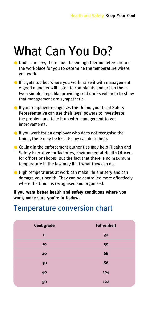## What Can You Do?

- **C** Under the law, there must be enough thermometers around the workplace for you to determine the temperature where you work.
- If it gets too hot where you work, raise it with management. A good manager will listen to complaints and act on them. Even simple steps like providing cold drinks will help to show that management are sympathetic.
- **If your employer recognises the Union, your local Safety** Representative can use their legal powers to investigate the problem and take it up with management to get improvements.
- If you work for an employer who does not recognise the Union, there may be less Usdaw can do to help.
- Calling in the enforcement authorities may help (Health and Safety Executive for factories, Environmental Health Officers for offices or shops). But the fact that there is no maximum temperature in the law may limit what they can do.
- **High temperatures at work can make life a misery and can** damage your health. They can be controlled more effectively where the Union is recognised and organised.

**If you want better health and safety conditions where you work, make sure you're in Usdaw.**

## Temperature conversion chart

| Centigrade   | <b>Fahrenheit</b> |
|--------------|-------------------|
| $\mathbf{o}$ | 32                |
| 10           | 50                |
| 20           | 68                |
| 30           | 86                |
| 40           | 104               |
| 50           | 122               |